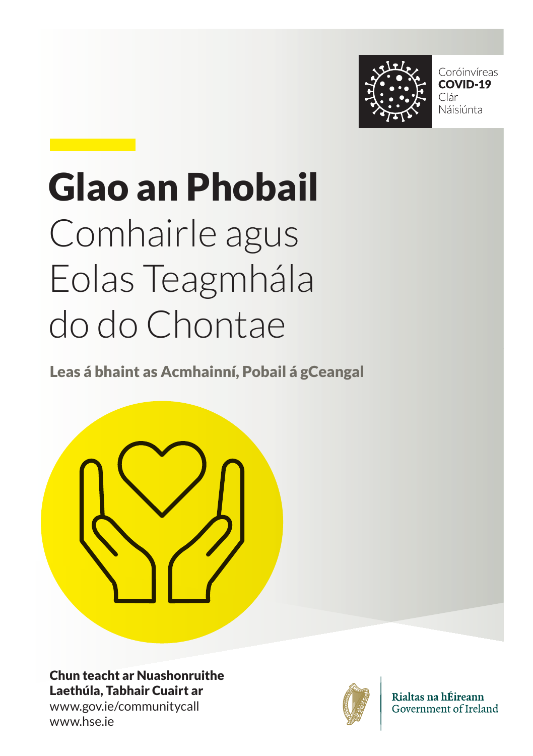

Coróinvíreas COVID-19 Clár Náisiúnta

# Glao an Phobail Comhairle agus Eolas Teagmhála do do Chontae

Leas á bhaint as Acmhainní, Pobail á gCeangal



Chun teacht ar Nuashonruithe Laethúla, Tabhair Cuairt ar www.gov.ie/communitycall www.hse.ie



Rialtas na hÉireann Government of Ireland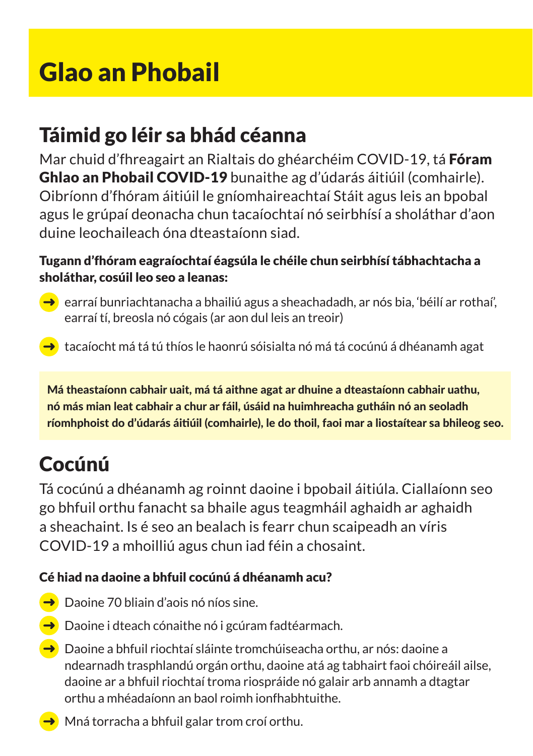# Glao an Phobail

# Táimid go léir sa bhád céanna

Mar chuid d'fhreagairt an Rialtais do ghéarchéim COVID-19, tá Fóram Ghlao an Phobail COVID-19 bunaithe ag d'údarás áitiúil (comhairle). Oibríonn d'fhóram áitiúil le gníomhaireachtaí Stáit agus leis an bpobal agus le grúpaí deonacha chun tacaíochtaí nó seirbhísí a sholáthar d'aon duine leochaileach óna dteastaíonn siad.

## Tugann d'fhóram eagraíochtaí éagsúla le chéile chun seirbhísí tábhachtacha a sholáthar, cosúil leo seo a leanas:

 $\rightarrow$  earraí bunriachtanacha a bhailiú agus a sheachadadh, ar nós bia, 'béilí ar rothaí', earraí tí, breosla nó cógais (ar aon dul leis an treoir)

tacaíocht má tá tú thíos le haonrú sóisialta nó má tá cocúnú á dhéanamh agat

Má theastaíonn cabhair uait, má tá aithne agat ar dhuine a dteastaíonn cabhair uathu, nó más mian leat cabhair a chur ar fáil, úsáid na huimhreacha gutháin nó an seoladh ríomhphoist do d'údarás áitiúil (comhairle), le do thoil, faoi mar a liostaítear sa bhileog seo.

# Cocúnú

Tá cocúnú a dhéanamh ag roinnt daoine i bpobail áitiúla. Ciallaíonn seo go bhfuil orthu fanacht sa bhaile agus teagmháil aghaidh ar aghaidh a sheachaint. Is é seo an bealach is fearr chun scaipeadh an víris COVID-19 a mhoilliú agus chun iad féin a chosaint.

## Cé hiad na daoine a bhfuil cocúnú á dhéanamh acu?

- $\rightarrow$  Daoine 70 bliain d'aois nó níos sine.
- $\rightarrow$  Daoine i dteach cónaithe nó i gcúram fadtéarmach.
- → Daoine a bhfuil riochtaí sláinte tromchúiseacha orthu, ar nós: daoine a ndearnadh trasphlandú orgán orthu, daoine atá ag tabhairt faoi chóireáil ailse, daoine ar a bhfuil riochtaí troma riospráide nó galair arb annamh a dtagtar orthu a mhéadaíonn an baol roimh ionfhabhtuithe.
- → Mná torracha a bhfuil galar trom croí orthu.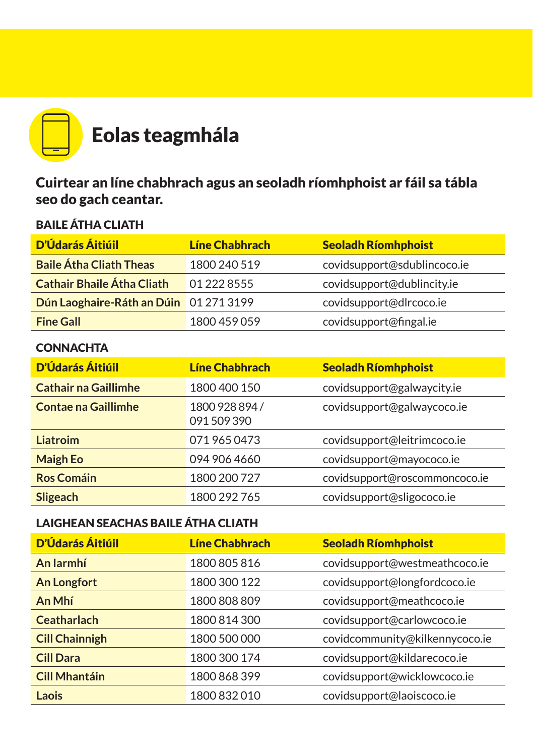

Cuirtear an líne chabhrach agus an seoladh ríomhphoist ar fáil sa tábla seo do gach ceantar.

## BAILE ÁTHA CLIATH

| <b>D'Údarás Áitiúil</b>                | <b>Líne Chabhrach</b> | Seoladh Ríomhphoist         |
|----------------------------------------|-----------------------|-----------------------------|
| <b>Baile Átha Cliath Theas</b>         | 1800 240 519          | covidsupport@sdublincoco.ie |
| <b>Cathair Bhaile Átha Cliath</b>      | 01 222 8555           | covidsupport@dublincity.ie  |
| Dún Laoghaire-Ráth an Dúin 01 271 3199 |                       | covidsupport@dlrcoco.ie     |
| <b>Fine Gall</b>                       | 1800 459 059          | covidsupport@fingal.ie      |

## **CONNACHTA**

| <b>D'Údarás Áitiúil</b>     | <b>Líne Chabhrach</b>       | <b>Seoladh Ríomhphoist</b>    |
|-----------------------------|-----------------------------|-------------------------------|
| <b>Cathair na Gaillimhe</b> | 1800 400 150                | covidsupport@galwaycity.ie    |
| <b>Contae na Gaillimhe</b>  | 1800 928 894 /<br>091509390 | covidsupport@galwaycoco.ie    |
| Liatroim                    | 0719650473                  | covidsupport@leitrimcoco.ie   |
| <b>Maigh Eo</b>             | 094 906 4660                | covidsupport@mayococo.ie      |
| <b>Ros Comáin</b>           | 1800 200 727                | covidsupport@roscommoncoco.ie |
| Sligeach                    | 1800 292 765                | covidsupport@sligococo.ie     |

## LAIGHEAN SEACHAS BAILE ÁTHA CLIATH

| D'Údarás Áitiúil      | Líne Chabhrach | <b>Seoladh Ríomhphoist</b>     |
|-----------------------|----------------|--------------------------------|
| An Jarmhí             | 1800 805 816   | covidsupport@westmeathcoco.ie  |
| <b>An Longfort</b>    | 1800 300 122   | covidsupport@longfordcoco.ie   |
| An Mhí                | 1800 808 809   | covidsupport@meathcoco.ie      |
| <b>Ceatharlach</b>    | 1800 814 300   | covidsupport@carlowcoco.ie     |
| <b>Cill Chainnigh</b> | 1800 500 000   | covidcommunity@kilkennycoco.ie |
| <b>Cill Dara</b>      | 1800 300 174   | covidsupport@kildarecoco.ie    |
| <b>Cill Mhantáin</b>  | 1800 868 399   | covidsupport@wicklowcoco.ie    |
| Laois                 | 1800 832 010   | covidsupport@laoiscoco.ie      |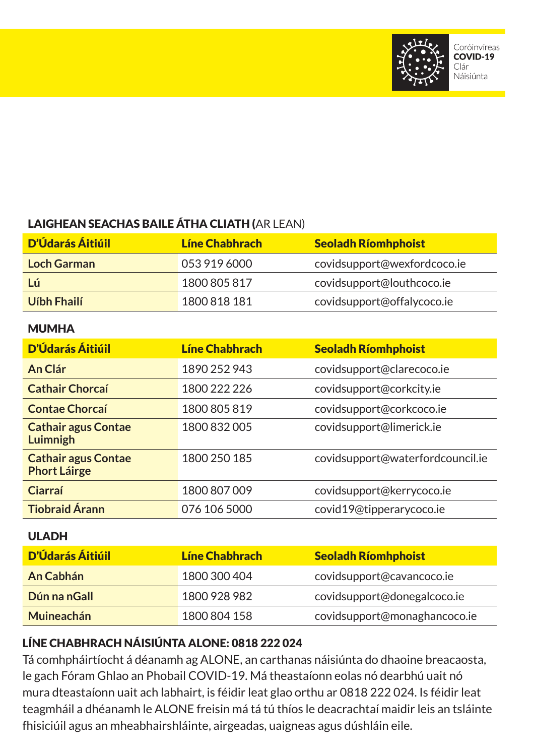

# LAIGHEAN SEACHAS BAILE ÁTHA CLIATH (AR LEAN)

| <b>D'Údarás Áitiúil</b> | Líne Chabhrach | <b>Seoladh Ríomhphoist</b>  |
|-------------------------|----------------|-----------------------------|
| Loch Garman             | 053 919 6000   | covidsupport@wexfordcoco.ie |
| Lú                      | 1800 805 817   | covidsupport@louthcoco.ie   |
| Uíbh Fhailí             | 1800 818 181   | covidsupport@offalycoco.ie  |

#### **MUMHA**

| <b>D'Údarás Áitiúil</b>                           | <b>Líne Chabhrach</b> | <b>Seoladh Ríomhphoist</b>       |
|---------------------------------------------------|-----------------------|----------------------------------|
| An Clár                                           | 1890 252 943          | covidsupport@clarecoco.ie        |
| <b>Cathair Chorcaí</b>                            | 1800 222 226          | covidsupport@corkcity.ie         |
| <b>Contae Chorcaí</b>                             | 1800 805 819          | covidsupport@corkcoco.ie         |
| <b>Cathair agus Contae</b><br>Luimnigh            | 1800 832 005          | covidsupport@limerick.ie         |
| <b>Cathair agus Contae</b><br><b>Phort Láirge</b> | 1800 250 185          | covidsupport@waterfordcouncil.ie |
| Ciarraí                                           | 1800 807 009          | covidsupport@kerrycoco.ie        |
| <b>Tiobraid Árann</b>                             | 076 106 5000          | covid19@tipperarycoco.ie         |

#### ULADH

| D'Údarás Áitiúil | Líne Chabhrach | <b>Seoladh Ríomhphoist</b>   |
|------------------|----------------|------------------------------|
| An Cabhán        | 1800 300 404   | covidsupport@cavancoco.ie    |
| Dún na nGall     | 1800 928 982   | covidsupport@donegalcoco.ie  |
| Muineachán       | 1800 804 158   | covidsupport@monaghancoco.ie |

## LÍNE CHABHRACH NÁISIÚNTA ALONE: 0818 222 024

Tá comhpháirtíocht á déanamh ag ALONE, an carthanas náisiúnta do dhaoine breacaosta, le gach Fóram Ghlao an Phobail COVID-19. Má theastaíonn eolas nó dearbhú uait nó mura dteastaíonn uait ach labhairt, is féidir leat glao orthu ar 0818 222 024. Is féidir leat teagmháil a dhéanamh le ALONE freisin má tá tú thíos le deacrachtaí maidir leis an tsláinte fhisiciúil agus an mheabhairshláinte, airgeadas, uaigneas agus dúshláin eile.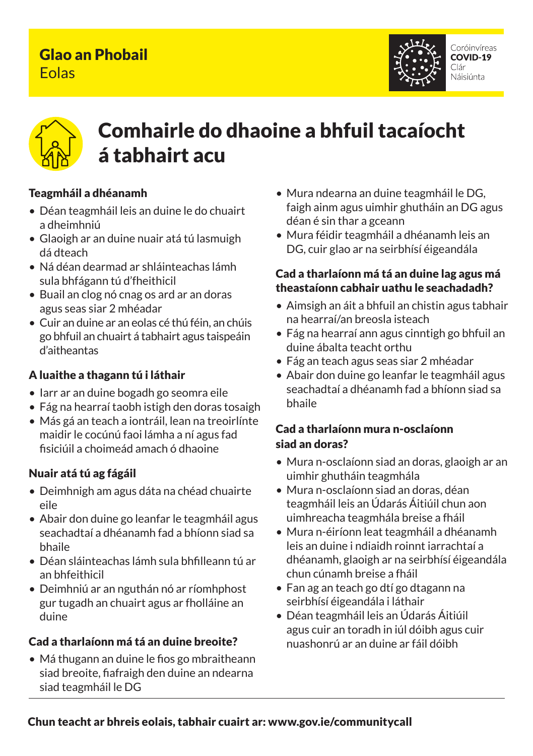# Glao an Phobail Eolas





# Comhairle do dhaoine a bhfuil tacaíocht<br>á tabhairteau nan casa<br>Comhairle agus an chuid á tabhairt acu

#### Teagmháil a dhéanamh

- e da maria ancanam<br>• Déan teagmháil leis an duine le do chuairt faigh ainm agus<br>déan é sin thar a dheimhniú
- do do Chontae Glaoigh ar an duine nuair atá tú lasmuigh dá dteach
- Ná déan dearmad ar shláinteachas lámh sula bhfágann tú d'fheithicil
- Buail an clog nó cnag os ard ar an doras agus seas siar 2 mhéadar
- Cuir an duine ar an eolas cé thú féin, an chúis go bhfuil an chuairt á tabhairt agus taispeáin d'aitheantas

#### A luaithe a thagann tú i láthair

- Iarr ar an duine bogadh go seomra eile
- Fág na hearraí taobh istigh den doras tosaigh
- Más gá an teach a iontráil, lean na treoirlínte maidir le cocúnú faoi lámha a ní agus fad fisiciúil a choimeád amach ó dhaoine

### Nuair atá tú ag fágáil

- Deimhnigh am agus dáta na chéad chuairte eile
- Abair don duine go leanfar le teagmháil agus seachadtaí a dhéanamh fad a bhíonn siad sa bhaile
- Déan sláinteachas lámh sula bhfilleann tú ar an bhfeithicil
- Deimhniú ar an nguthán nó ar ríomhphost gur tugadh an chuairt agus ar fholláine an duine

### Cad a tharlaíonn má tá an duine breoite?

• Má thugann an duine le fios go mbraitheann siad breoite, fiafraigh den duine an ndearna siad teagmháil le DG

- Mura ndearna an duine teagmháil le DG, faigh ainm agus uimhir ghutháin an DG agus déan é sin thar a gceann
- Mura féidir teagmháil a dhéanamh leis an DG, cuir glao ar na seirbhísí éigeandála

#### ithicil<br>theastaíonn cabhair uathu le seachadadh? Cad a tharlaíonn má tá an duine lag agus má

- Aimsigh an áit a bhfuil an chistin agus tabhair na hearraí/an breosla isteach
- Fág na hearraí ann agus cinntigh go bhfuil an duine ábalta teacht orthu
- Fág an teach agus seas siar 2 mhéadar
- Abair don duine go leanfar le teagmháil agus seachadtaí a dhéanamh fad a bhíonn siad sa bhaile

### Cad a tharlaíonn mura n-osclaíonn siad an doras?

- Mura n-osclaíonn siad an doras, glaoigh ar an uimhir ghutháin teagmhála
- Mura n-osclaíonn siad an doras, déan teagmháil leis an Údarás Áitiúil chun aon uimhreacha teagmhála breise a fháil
- Mura n-éiríonn leat teagmháil a dhéanamh leis an duine i ndiaidh roinnt iarrachtaí a dhéanamh, glaoigh ar na seirbhísí éigeandála chun cúnamh breise a fháil
- Fan ag an teach go dtí go dtagann na seirbhísí éigeandála i láthair
- Déan teagmháil leis an Údarás Áitiúil agus cuir an toradh in iúl dóibh agus cuir nuashonrú ar an duine ar fáil dóibh